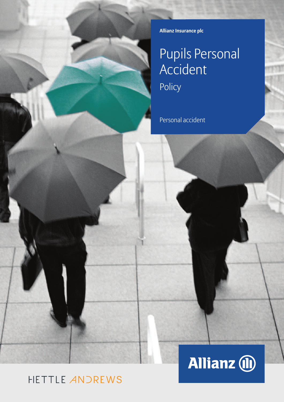**Allianz Insurance plc**

# Pupils Personal Accident Policy

Personal accident

### HETTLE ANDREWS

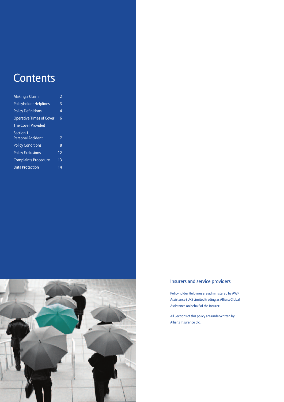### **Contents**

| Making a Claim                  | 2  |
|---------------------------------|----|
| <b>Policyholder Helplines</b>   | 3  |
| <b>Policy Definitions</b>       | 4  |
| <b>Operative Times of Cover</b> | 6  |
| <b>The Cover Provided</b>       |    |
| <b>Section 1</b>                |    |
| <b>Personal Accident</b>        | 7  |
| <b>Policy Conditions</b>        | 8  |
| <b>Policy Exclusions</b>        | 12 |
| <b>Complaints Procedure</b>     | 13 |
| <b>Data Protection</b>          | 14 |



### Insurers and service providers

Policyholder Helplines are administered by AWP Assistance (UK) Limited trading as Allianz Global Assistance on behalf of the Insurer.

All Sections of this policy are underwritten by Allianz Insurance plc.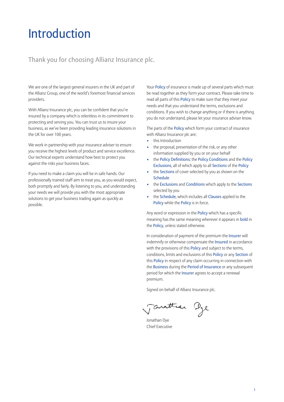### Introduction

### Thank you for choosing Allianz Insurance plc.

We are one of the largest general insurers in the UK and part of the Allianz Group, one of the world's foremost financial services providers.

With Allianz Insurance plc, you can be confident that you're insured by a company which is relentless in its commitment to protecting and serving you. You can trust us to insure your business, as we've been providing leading insurance solutions in the UK for over 100 years.

We work in partnership with your insurance adviser to ensure you receive the highest levels of product and service excellence. Our technical experts understand how best to protect you against the risks your business faces.

If you need to make a claim you will be in safe hands. Our professionally trained staff aim to treat you, as you would expect, both promptly and fairly. By listening to you, and understanding your needs we will provide you with the most appropriate solutions to get your business trading again as quickly as possible.

Your Policy of insurance is made up of several parts which must be read together as they form your contract. Please take time to read all parts of this Policy to make sure that they meet your needs and that you understand the terms, exclusions and conditions. If you wish to change anything or if there is anything you do not understand, please let your insurance adviser know.

The parts of the **Policy** which form your contract of insurance with Allianz Insurance plc are:

- this Introduction
- the proposal, presentation of the risk, or any other information supplied by you or on your behalf
- the Policy Definitions; the Policy Conditions and the Policy Exclusions, all of which apply to all Sections of the Policy
- the Sections of cover selected by you as shown on the Schedule
- the Exclusions and Conditions which apply to the Sections selected by you
- the Schedule, which includes all Clauses applied to the Policy while the Policy is in force.

Any word or expression in the Policy which has a specific meaning has the same meaning wherever it appears in bold in the Policy, unless stated otherwise.

In consideration of payment of the premium the Insurer will indemnify or otherwise compensate the Insured in accordance with the provisions of this Policy and subject to the terms, conditions, limits and exclusions of this Policy or any Section of this Policy in respect of any claim occurring in connection with the Business during the Period of Insurance or any subsequent period for which the Insurer agrees to accept a renewal premium.

Signed on behalf of Allianz Insurance plc.

auttean Dye

Jonathan Dye Chief Executive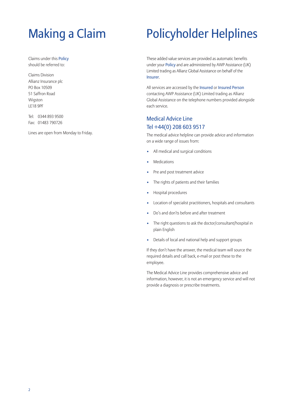# Making a Claim

Claims under this Policy should be referred to:

Claims Division Allianz Insurance plc PO Box 10509 51 Saffron Road Wigston LE18 9PF

Tel: 0344 893 9500 Fax: 01483 790726

Lines are open from Monday to Friday.

## Policyholder Helplines

These added value services are provided as automatic benefits under your Policy and are administered by AWP Assistance (UK) Limited trading as Allianz Global Assistance on behalf of the Insurer.

All services are accessed by the Insured or Insured Person contacting AWP Assistance (UK) Limited trading as Allianz Global Assistance on the telephone numbers provided alongside each service.

### Medical Advice Line Tel +44(0) 208 603 9517

The medical advice helpline can provide advice and information on a wide range of issues from:

- All medical and surgical conditions
- **Medications**
- Pre and post treatment advice
- The rights of patients and their families
- Hospital procedures
- Location of specialist practitioners, hospitals and consultants
- Do's and don'ts before and after treatment
- The right questions to ask the doctor/consultant/hospital in plain English
- Details of local and national help and support groups

If they don't have the answer, the medical team will source the required details and call back, e-mail or post these to the employee.

The Medical Advice Line provides comprehensive advice and information, however, it is not an emergency service and will not provide a diagnosis or prescribe treatments.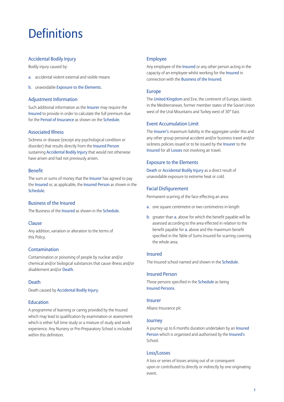### **Definitions**

### Accidental Bodily Injury

Bodily injury caused by:

- a. accidental violent external and visible means
- b. unavoidable Exposure to the Elements.

### Adjustment Information

Such additional information as the Insurer may require the Insured to provide in order to calculate the full premium due for the Period of Insurance as shown on the Schedule.

### Associated Illness

Sickness or disease (except any psychological condition or disorder) that results directly from the Insured Person sustaining Accidental Bodily Injury that would not otherwise have arisen and had not previously arisen.

### Benefit

The sum or sums of money that the Insurer has agreed to pay the Insured or, as applicable, the Insured Person as shown in the Schedule.

### Business of the Insured

The Business of the Insured as shown in the Schedule.

### Clause

Any addition, variation or alteration to the terms of this Policy.

### Contamination

Contamination or poisoning of people by nuclear and/or chemical and/or biological substances that cause illness and/or disablement and/or Death.

### Death

Death caused by Accidental Bodily Injury.

### Education

A programme of learning or caring provided by the Insured which may lead to qualification by examination or assessment which is either full time study or a mixture of study and work experience. Any Nursery or Pre-Preparatory School is included within this definition.

### Employee

Any employee of the Insured or any other person acting in the capacity of an employee whilst working for the Insured in connection with the Business of the Insured.

### Europe

The United Kingdom and Eire, the continent of Europe, islands in the Mediterranean, former member states of the Soviet Union west of the Ural Mountains and Turkey west of 30° East.

### Event Accumulation Limit

The Insurer's maximum liability in the aggregate under this and any other group personal accident and/or business travel and/or sickness policies issued or to be issued by the Insurer to the Insured for all Losses not involving air travel.

### Exposure to the Elements

Death or Accidental Bodily Injury as a direct result of unavoidable exposure to extreme heat or cold.

### Facial Disfigurement

Permanent scarring of the face effecting an area:

- a. one square centimetre or two centimetres in length
- b. greater than a. above for which the benefit payable will be assessed according to the area effected in relation to the benefit payable for a. above and the maximum benefit specified in the Table of Sums Insured for scarring covering the whole area.

### Insured

The Insured school named and shown in the Schedule.

### Insured Person

Those persons specified in the Schedule as being Insured Persons.

### Insurer

Allianz Insurance plc

### Journey

A journey up to 6 months duration undertaken by an Insured Person which is organised and authorised by the Insured's School.

### Loss/Losses

A loss or series of losses arising out of or consequent upon or contributed to directly or indirectly by one originating event.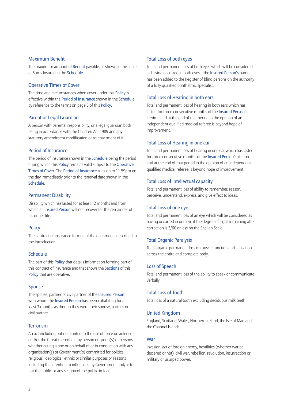### Maximum Benefit

The maximum amount of Benefit payable, as shown in the Table of Sums Insured in the Schedule.

### Operative Times of Cover

The time and circumstances when cover under this Policy is effective within the Period of Insurance shown in the Schedule by reference to the terms on page 5 of this Policy.

### Parent or Legal Guardian

A person with parental responsibility, or a legal guardian both being in accordance with the Children Act 1989 and any statutory amendment modification or re-enactment of it.

### Period of Insurance

The period of insurance shown in the Schedule being the period during which this Policy remains valid subject to the Operative Times of Cover. The Period of Insurance runs up to 11.59pm on the day immediately prior to the renewal date shown in the Schedule.

### Permanent Disability

Disability which has lasted for at least 12 months and from which an Insured Person will not recover for the remainder of his or her life.

### **Policy**

The contract of insurance formed of the documents described in the Introduction.

### Schedule

The part of this Policy that details information forming part of this contract of insurance and that shows the Sections of this Policy that are operative.

#### Spouse

The spouse, partner or civil partner of the Insured Person with whom the Insured Person has been cohabiting for at least 3 months as though they were their spouse, partner or civil partner.

### **Terrorism**

An act including but not limited to the use of force or violence and/or the threat thereof of any person or group(s) of persons whether acting alone or on behalf of or in connection with any organisation(s) or Government(s) committed for political, religious, ideological, ethnic or similar purposes or reasons including the intention to influence any Government and/or to put the public or any section of the public in fear.

### Total Loss of both eyes

Total and permanent loss of both eyes which will be considered as having occurred in both eyes if the Insured Person's name has been added to the Register of blind persons on the authority of a fully qualified ophthalmic specialist.

#### Total Loss of Hearing in both ears

Total and permanent loss of hearing in both ears which has lasted for three consecutive months of the Insured Person's lifetime and at the end of that period in the opinion of an independent qualified medical referee is beyond hope of improvement.

### Total Loss of Hearing in one ear

Total and permanent loss of hearing in one ear which has lasted for three consecutive months of the Insured Person's lifetime and at the end of that period in the opinion of an independent qualified medical referee is beyond hope of improvement.

### Total Loss of intellectual capacity

Total and permanent loss of ability to remember, reason, perceive, understand, express, and give effect to ideas.

#### Total Loss of one eye

Total and permanent loss of an eye which will be considered as having occurred in one eye if the degree of sight remaining after correction is 3/60 or less on the Snellen Scale.

#### Total Organic Paralysis

Total organic permanent loss of muscle function and sensation across the entire and complete body.

### Loss of Speech

Total and permanent loss of the ability to speak or communicate verbally

### Total Loss of Tooth

Total loss of a natural tooth excluding deciduous milk teeth

#### United Kingdom

England, Scotland, Wales, Northern Ireland, the Isle of Man and the Channel Islands.

#### **War**

Invasion, act of foreign enemy, hostilities (whether war be declared or not), civil war, rebellion, revolution, insurrection or military or usurped power.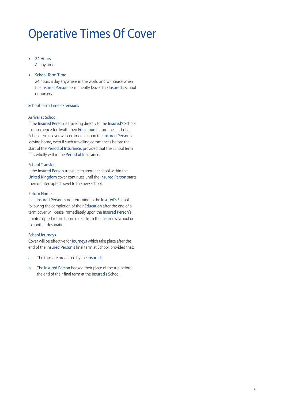## Operative Times Of Cover

- 24 Hours At any time.
- School Term Time

24 hours a day anywhere in the world and will cease when the Insured Person permanently leaves the Insured's school or nursery.

### School Term Time extensions

### Arrival at School

If the Insured Person is traveling directly to the Insured's School to commence forthwith their Education before the start of a School term, cover will commence upon the Insured Person's leaving home, even if such travelling commences before the start of the Period of Insurance, provided that the School term falls wholly within the Period of Insurance.

### School Transfer

If the Insured Person transfers to another school within the United Kingdom cover continues until the Insured Person starts their uninterrupted travel to the new school.

### Return Home

If an Insured Person is not returning to the Insured's School following the completion of their Education after the end of a term cover will cease immediately upon the Insured Person's uninterrupted return home direct from the Insured's School or to another destination.

### School Journeys

Cover will be effective for Journeys which take place after the end of the Insured Person's final term at School, provided that:

- a. The trips are organised by the Insured;
- b. The Insured Person booked their place of the trip before the end of their final term at the Insured's School.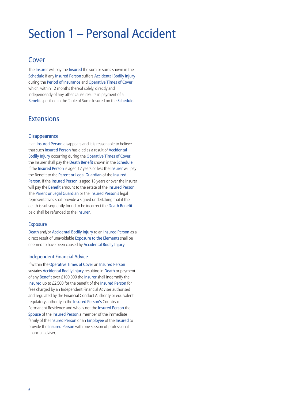### Section 1 – Personal Accident

### Cover

The Insurer will pay the Insured the sum or sums shown in the Schedule if any Insured Person suffers Accidental Bodily Injury during the Period of Insurance and Operative Times of Cover which, within 12 months thereof solely, directly and independently of any other cause results in payment of a Benefit specified in the Table of Sums Insured on the Schedule.

### **Extensions**

### **Disappearance**

If an Insured Person disappears and it is reasonable to believe that such Insured Person has died as a result of Accidental Bodily Injury occurring during the Operative Times of Cover, the Insurer shall pay the Death Benefit shown in the Schedule. If the Insured Person is aged 17 years or less the Insurer will pay the Benefit to the Parent or Legal Guardian of the Insured Person. If the Insured Person is aged 18 years or over the Insurer will pay the Benefit amount to the estate of the Insured Person. The Parent or Legal Guardian or the Insured Person's legal representatives shall provide a signed undertaking that if the death is subsequently found to be incorrect the Death Benefit paid shall be refunded to the Insurer.

### Exposure

Death and/or Accidental Bodily Injury to an Insured Person as a direct result of unavoidable Exposure to the Elements shall be deemed to have been caused by Accidental Bodily Injury.

### Independent Financial Advice

If within the Operative Times of Cover an Insured Person sustains Accidental Bodily Injury resulting in Death or payment of any Benefit over £100,000 the Insurer shall indemnify the Insured up to £2,500 for the benefit of the Insured Person for fees charged by an Independent Financial Adviser authorised and regulated by the Financial Conduct Authority or equivalent regulatory authority in the Insured Person's Country of Permanent Residence and who is not the Insured Person the Spouse of the Insured Person a member of the immediate family of the Insured Person or an Employee of the Insured to provide the Insured Person with one session of professional financial adviser.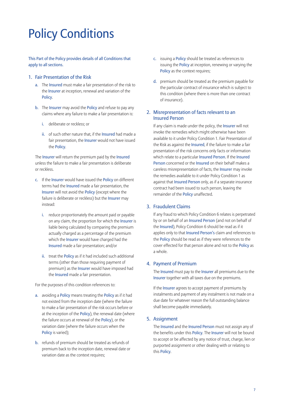## Policy Conditions

This Part of the Policy provides details of all Conditions that apply to all sections.

### 1. Fair Presentation of the Risk

- a. The Insured must make a fair presentation of the risk to the Insurer at inception, renewal and variation of the Policy.
- b. The Insurer may avoid the Policy and refuse to pay any claims where any failure to make a fair presentation is:
	- i. deliberate or reckless; or
	- ii. of such other nature that, if the Insured had made a fair presentation, the **Insurer** would not have issued the Policy.

The Insurer will return the premium paid by the Insured unless the failure to make a fair presentation is deliberate or reckless.

- c. If the Insurer would have issued the Policy on different terms had the Insured made a fair presentation, the Insurer will not avoid the Policy (except where the failure is deliberate or reckless) but the **Insurer** may instead:
	- i. reduce proportionately the amount paid or payable on any claim, the proportion for which the Insurer is liable being calculated by comparing the premium actually charged as a percentage of the premium which the Insurer would have charged had the Insured made a fair presentation; and/or
	- ii. treat the Policy as if it had included such additional terms (other than those requiring payment of premium) as the Insurer would have imposed had the Insured made a fair presentation.

For the purposes of this condition references to:

- a. avoiding a Policy means treating the Policy as if it had not existed from the inception date (where the failure to make a fair presentation of the risk occurs before or at the inception of the Policy), the renewal date (where the failure occurs at renewal of the Policy), or the variation date (where the failure occurs when the Policy is varied);
- b. refunds of premium should be treated as refunds of premium back to the inception date, renewal date or variation date as the context requires;
- c. issuing a Policy should be treated as references to issuing the **Policy** at inception, renewing or varying the Policy as the context requires;
- d. premium should be treated as the premium payable for the particular contract of insurance which is subject to this condition (where there is more than one contract of insurance).

### 2. Misrepresentation of facts relevant to an Insured Person

If any claim is made under the policy, the Insurer will not invoke the remedies which might otherwise have been available to it under Policy Condition 1. Fair Presentation of the Risk as against the Insured, if the failure to make a fair presentation of the risk concerns only facts or information which relate to a particular Insured Person. If the Insured Person concerned or the Insured on their behalf makes a careless misrepresentation of facts, the Insurer may invoke the remedies available to it under Policy Condition 1 as against that Insured Person only, as if a separate insurance contract had been issued to such person, leaving the remainder of the Policy unaffected.

### 3. Fraudulent Claims

If any fraud to which Policy Condition 6 relates is perpetrated by or on behalf of an Insured Person (and not on behalf of the Insured), Policy Condition 6 should be read as if it applies only to that Insured Person's claim and references to the Policy should be read as if they were references to the cover effected for that person alone and not to the Policy as a whole.

### 4. Payment of Premium

The Insured must pay to the Insurer all premiums due to the Insurer together with all taxes due on the premiums.

If the **Insurer** agrees to accept payment of premiums by instalments and payment of any instalment is not made on a due date for whatever reason the full outstanding balance shall become payable immediately.

### 5. Assignment

The Insured and the Insured Person must not assign any of the benefits under this Policy. The Insurer will not be bound to accept or be affected by any notice of trust, charge, lien or purported assignment or other dealing with or relating to this Policy.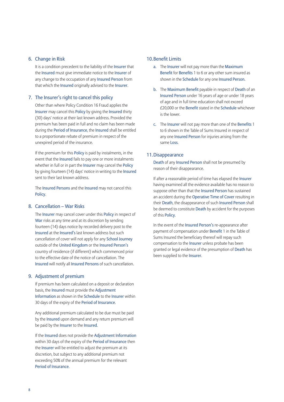### 6. Change in Risk

It is a condition precedent to the liability of the Insurer that the Insured must give immediate notice to the Insurer of any change to the occupation of any **Insured Person** from that which the Insured originally advised to the Insurer.

### 7. The Insurer's right to cancel this policy

Other than where Policy Condition 16 Fraud applies the Insurer may cancel this Policy by giving the Insured thirty (30) days' notice at their last known address. Provided the premium has been paid in full and no claim has been made during the Period of Insurance, the Insured shall be entitled to a proportionate rebate of premium in respect of the unexpired period of the insurance.

If the premium for this **Policy** is paid by instalments, in the event that the Insured fails to pay one or more instalments whether in full or in part the Insurer may cancel the Policy by giving fourteen (14) days' notice in writing to the Insured sent to their last known address.

The Insured Persons and the Insured may not cancel this Policy.

### 8. Cancellation – War Risks

The Insurer may cancel cover under this Policy in respect of War risks at any time and at its discretion by sending fourteen (14) days notice by recorded delivery post to the Insured at the Insured's last known address but such cancellation of cover will not apply for any School Journey outside of the United Kingdom or the Insured Person's country of residence (if different) which commenced prior to the effective date of the notice of cancellation. The Insured will notify all Insured Persons of such cancellation.

### 9. Adjustment of premium

If premium has been calculated on a deposit or declaration basis, the Insured must provide the Adjustment Information as shown in the Schedule to the Insurer within 30 days of the expiry of the Period of Insurance.

Any additional premium calculated to be due must be paid by the Insured upon demand and any return premium will be paid by the Insurer to the Insured.

If the Insured does not provide the Adjustment Information within 30 days of the expiry of the Period of Insurance then the Insurer will be entitled to adjust the premium at its discretion, but subject to any additional premium not exceeding 50% of the annual premium for the relevant Period of Insurance.

### 10.Benefit Limits

- a. The Insurer will not pay more than the Maximum Benefit for Benefits 1 to 6 or any other sum insured as shown in the Schedule for any one Insured Person.
- b. The Maximum Benefit payable in respect of Death of an Insured Person under 16 years of age or under 18 years of age and in full time education shall not exceed £20,000 or the Benefit stated in the Schedule whichever is the lower.
- c. The Insurer will not pay more than one of the Benefits 1 to 6 shown in the Table of Sums Insured in respect of any one Insured Person for injuries arising from the same Loss.

### 11.Disappearance

Death of any Insured Person shall not be presumed by reason of their disappearance.

If after a reasonable period of time has elapsed the Insurer having examined all the evidence available has no reason to suppose other than that the **Insured Person** has sustained an accident during the Operative Time of Cover resulting in their Death, the disappearance of such Insured Person shall be deemed to constitute Death by accident for the purposes of this Policy.

In the event of the Insured Person's re-appearance after payment of compensation under Benefit 1 in the Table of Sums Insured the beneficiary thereof will repay such compensation to the Insurer unless probate has been granted or legal evidence of the presumption of Death has been supplied to the Insurer.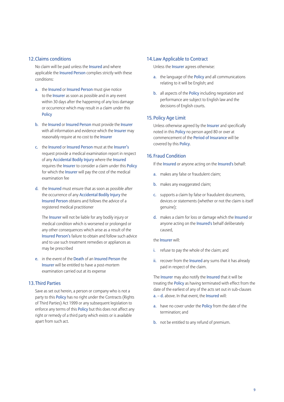### 12.Claims conditions

No claim will be paid unless the Insured and where applicable the Insured Person complies strictly with these conditions:

- a. the Insured or Insured Person must give notice to the Insurer as soon as possible and in any event within 30 days after the happening of any loss damage or occurrence which may result in a claim under this Policy
- b. the Insured or Insured Person must provide the Insurer with all information and evidence which the **Insurer** may reasonably require at no cost to the Insurer
- c. the Insured or Insured Person must at the Insurer's request provide a medical examination report in respect of any Accidental Bodily Injury where the Insured requires the Insurer to consider a claim under this Policy for which the Insurer will pay the cost of the medical examination fee
- d. the Insured must ensure that as soon as possible after the occurrence of any Accidental Bodily Injury the Insured Person obtains and follows the advice of a registered medical practitioner

The Insurer will not be liable for any bodily injury or medical condition which is worsened or prolonged or any other consequences which arise as a result of the Insured Person's failure to obtain and follow such advice and to use such treatment remedies or appliances as may be prescribed

e. in the event of the Death of an Insured Person the Insurer will be entitled to have a post-mortem examination carried out at its expense

### 13.Third Parties

Save as set out herein, a person or company who is not a party to this **Policy** has no right under the Contracts (Rights of Third Parties) Act 1999 or any subsequent legislation to enforce any terms of this Policy but this does not affect any right or remedy of a third party which exists or is available apart from such act.

### 14.Law Applicable to Contract

Unless the Insurer agrees otherwise:

- a. the language of the Policy and all communications relating to it will be English; and
- b. all aspects of the Policy including negotiation and performance are subject to English law and the decisions of English courts.

### 15. Policy Age Limit

Unless otherwise agreed by the Insurer and specifically noted in this Policy no person aged 80 or over at commencement of the Period of Insurance will be covered by this Policy.

### 16. Fraud Condition

If the Insured or anyone acting on the Insured's behalf:

- a. makes any false or fraudulent claim;
- b. makes any exaggerated claim;
- c. supports a claim by false or fraudulent documents, devices or statements (whether or not the claim is itself genuine);
- d. makes a claim for loss or damage which the Insured or anyone acting on the Insured's behalf deliberately caused,

### the Insurer will:

- i. refuse to pay the whole of the claim; and
- ii. recover from the Insured any sums that it has already paid in respect of the claim.

The Insurer may also notify the Insured that it will be treating the Policy as having terminated with effect from the date of the earliest of any of the acts set out in sub-clauses a. – d. above. In that event, the Insured will:

- a. have no cover under the Policy from the date of the termination; and
- b. not be entitled to any refund of premium.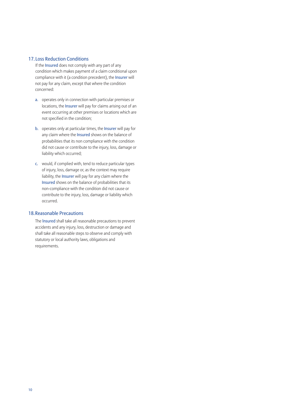### 17. Loss Reduction Conditions

 If the Insured does not comply with any part of any condition which makes payment of a claim conditional upon compliance with it (a condition precedent), the Insurer will not pay for any claim, except that where the condition concerned:

- a. operates only in connection with particular premises or locations, the Insurer will pay for claims arising out of an event occurring at other premises or locations which are not specified in the condition;
- b. operates only at particular times, the Insurer will pay for any claim where the **Insured** shows on the balance of probabilities that its non compliance with the condition did not cause or contribute to the injury, loss, damage or liability which occurred;
- c. would, if complied with, tend to reduce particular types of injury, loss, damage or, as the context may require liability, the Insurer will pay for any claim where the Insured shows on the balance of probabilities that its non-compliance with the condition did not cause or contribute to the injury, loss, damage or liability which occurred.

### 18.Reasonable Precautions

 The lnsured shall take all reasonable precautions to prevent accidents and any injury, loss, destruction or damage and shall take all reasonable steps to observe and comply with statutory or local authority laws, obligations and requirements.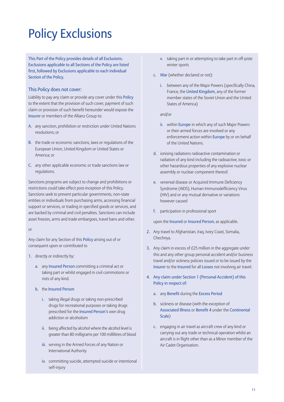# Policy Exclusions

This Part of the Policy provides details of all Exclusions. Exclusions applicable to all Sections of the Policy are listed first, followed by Exclusions applicable to each individual Section of the Policy.

### This Policy does not cover:

Liability to pay any claim or provide any cover under this Policy to the extent that the provision of such cover, payment of such claim or provision of such benefit hereunder would expose the Insurer or members of the Allianz Group to:

- A. any sanction, prohibition or restriction under United Nations resolutions; or
- B. the trade or economic sanctions, laws or regulations of the European Union, United Kingdom or United States or America; or
- C. any other applicable economic or trade sanctions law or regulations.

Sanctions programs are subject to change and prohibitions or restrictions could take effect post-inception of this Policy. Sanctions seek to prevent particular governments, non-state entities or individuals from purchasing arms, accessing financial support or services, or trading in specified goods or services, and are backed by criminal and civil penalties. Sanctions can include asset freezes, arms and trade embargoes, travel bans and other.

or

Any claim for any Section of this Policy arising out of or consequent upon or contributed to

- 1. directly or indirectly by:
	- a. any Insured Person committing a criminal act or taking part or whilst engaged in civil commotions or riots of any kind.
	- b. the Insured Person
		- i. taking illegal drugs or taking non-prescribed drugs for recreational purposes or taking drugs prescribed for the Insured Person's own drug addiction or alcoholism
		- ii. being affected by alcohol where the alcohol level is greater than 80 milligrams per 100 millilitres of blood
		- iii. serving in the Armed Forces of any Nation or International Authority
		- iv. committing suicide, attempted suicide or intentional self-injury
- v. taking part in or attempting to take part in off-piste winter sports
- c. War (whether declared or not):
	- i. between any of the Major Powers (specifically China, France, the United Kingdom, any of the former member states of the Soviet Union and the United States of America)

and/or

- ii. within Europe in which any of such Major Powers or their armed forces are involved or any enforcement action within Europe by or on behalf of the United Nations.
- d. ionising radiations radioactive contamination or radiation of any kind including the radioactive, toxic or other hazardous properties of any explosive nuclear assembly or nuclear component thereof.
- e. venereal disease or Acquired Immune Deficiency Syndrome (AIDS), Human Immunodefficiency Virus (HIV) and or any mutual derivative or variations however caused
- f. participation in professional sport

upon the Insured or Insured Person, as applicable.

- 2. Any travel to Afghanistan, Iraq, Ivory Coast, Somalia, Chechnya.
- 3. Any claim in excess of £25 million in the aggregate under this and any other group personal accident and/or business travel and/or sickness policies issued or to be issued by the Insurer to the Insured for all Losses not involving air travel.
- 4. Any claim under Section 1 (Personal Accident) of this Policy in respect of:
	- a. any Benefit during the Excess Period
	- b. sickness or disease (with the exception of Associated Illness or Benefit 4 under the Continental Scale)
	- c. engaging in air travel as aircraft crew of any kind or carrying out any trade or technical operation whilst an aircraft is in flight other than as a Minor member of the Air Cadet Organisation.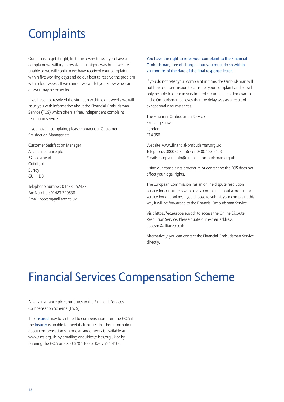### **Complaints**

Our aim is to get it right, first time every time. If you have a complaint we will try to resolve it straight away but if we are unable to we will confirm we have received your complaint within five working days and do our best to resolve the problem within four weeks. If we cannot we will let you know when an answer may be expected.

If we have not resolved the situation within eight weeks we will issue you with information about the Financial Ombudsman Service (FOS) which offers a free, independent complaint resolution service.

If you have a complaint, please contact our Customer Satisfaction Manager at:

Customer Satisfaction Manager Allianz Insurance plc 57 Ladymead Guildford Surrey GU1 1DB

Telephone number: 01483 552438 Fax Number: 01483 790538 Email: acccsm@allianz.co.uk

### You have the right to refer your complaint to the Financial Ombudsman, free of charge – but you must do so within six months of the date of the final response letter.

If you do not refer your complaint in time, the Ombudsman will not have our permission to consider your complaint and so will only be able to do so in very limited circumstances. For example, if the Ombudsman believes that the delay was as a result of exceptional circumstances.

The Financial Ombudsman Service Exchange Tower London E14 9SR

Website: www.financial-ombudsman.org.uk Telephone: 0800 023 4567 or 0300 123 9123 Email: complaint.info@financial-ombudsman.org.uk

Using our complaints procedure or contacting the FOS does not affect your legal rights.

The European Commission has an online dispute resolution service for consumers who have a complaint about a product or service bought online. If you choose to submit your complaint this way it will be forwarded to the Financial Ombudsman Service.

Visit https://ec.europa.eu/odr to access the Online Dispute Resolution Service. Please quote our e-mail address: acccsm@allianz.co.uk

Alternatively, you can contact the Financial Ombudsman Service directly.

## Financial Services Compensation Scheme

Allianz Insurance plc contributes to the Financial Services Compensation Scheme (FSCS).

The Insured may be entitled to compensation from the FSCS if the Insurer is unable to meet its liabilities. Further information about compensation scheme arrangements is available at www.fscs.org.uk, by emailing enquiries@fscs.org.uk or by phoning the FSCS on 0800 678 1100 or 0207 741 4100.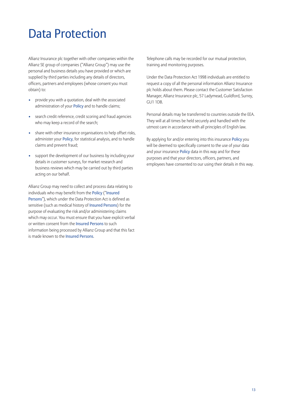### Data Protection

Allianz Insurance plc together with other companies within the Allianz SE group of companies ("Allianz Group") may use the personal and business details you have provided or which are supplied by third parties including any details of directors, officers, partners and employees (whose consent you must obtain) to:

- provide you with a quotation, deal with the associated administration of your Policy and to handle claims;
- search credit reference, credit scoring and fraud agencies who may keep a record of the search;
- share with other insurance organisations to help offset risks, administer your Policy, for statistical analysis, and to handle claims and prevent fraud;
- support the development of our business by including your details in customer surveys, for market research and business reviews which may be carried out by third parties acting on our behalf.

Allianz Group may need to collect and process data relating to individuals who may benefit from the Policy ("Insured Persons"), which under the Data Protection Act is defined as sensitive (such as medical history of Insured Persons) for the purpose of evaluating the risk and/or administering claims which may occur. You must ensure that you have explicit verbal or written consent from the Insured Persons to such information being processed by Allianz Group and that this fact is made known to the Insured Persons.

Telephone calls may be recorded for our mutual protection, training and monitoring purposes.

Under the Data Protection Act 1998 individuals are entitled to request a copy of all the personal information Allianz Insurance plc holds about them. Please contact the Customer Satisfaction Manager, Allianz Insurance plc, 57 Ladymead, Guildford, Surrey, GU1 1DB.

Personal details may be transferred to countries outside the EEA. They will at all times be held securely and handled with the utmost care in accordance with all principles of English law.

By applying for and/or entering into this insurance Policy you will be deemed to specifically consent to the use of your data and your insurance Policy data in this way and for these purposes and that your directors, officers, partners, and employees have consented to our using their details in this way.